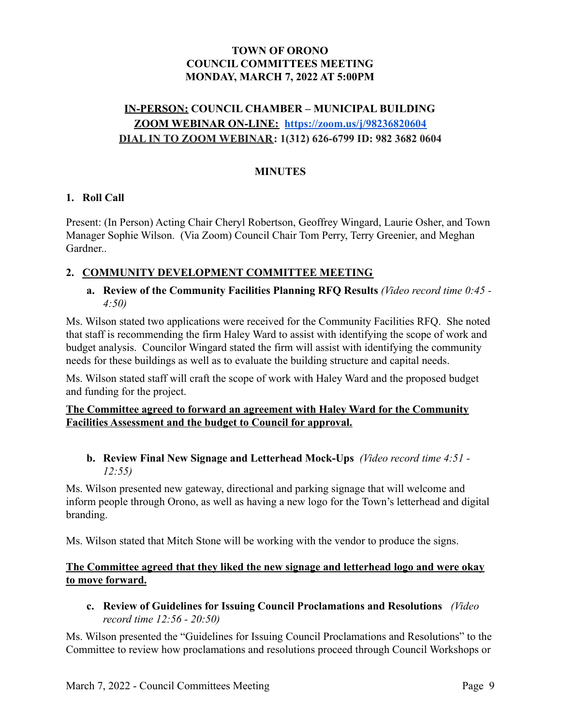# **TOWN OF ORONO COUNCIL COMMITTEES MEETING MONDAY, MARCH 7, 2022 AT 5:00PM**

# **IN-PERSON: COUNCIL CHAMBER – MUNICIPAL BUILDING ZOOM WEBINAR ON-LINE: <https://zoom.us/j/98236820604> DIAL IN TO ZOOM WEBINAR: 1(312) 626-6799 ID: 982 3682 0604**

# **MINUTES**

#### **1. Roll Call**

Present: (In Person) Acting Chair Cheryl Robertson, Geoffrey Wingard, Laurie Osher, and Town Manager Sophie Wilson. (Via Zoom) Council Chair Tom Perry, Terry Greenier, and Meghan Gardner..

#### **2. COMMUNITY DEVELOPMENT COMMITTEE MEETING**

#### **a. Review of the Community Facilities Planning RFQ Results** *(Video record time 0:45 - 4:50)*

Ms. Wilson stated two applications were received for the Community Facilities RFQ. She noted that staff is recommending the firm Haley Ward to assist with identifying the scope of work and budget analysis. Councilor Wingard stated the firm will assist with identifying the community needs for these buildings as well as to evaluate the building structure and capital needs.

Ms. Wilson stated staff will craft the scope of work with Haley Ward and the proposed budget and funding for the project.

#### **The Committee agreed to forward an agreement with Haley Ward for the Community Facilities Assessment and the budget to Council for approval.**

## **b. Review Final New Signage and Letterhead Mock-Ups** *(Video record time 4:51 - 12:55)*

Ms. Wilson presented new gateway, directional and parking signage that will welcome and inform people through Orono, as well as having a new logo for the Town's letterhead and digital branding.

Ms. Wilson stated that Mitch Stone will be working with the vendor to produce the signs.

## **The Committee agreed that they liked the new signage and letterhead logo and were okay to move forward.**

**c. Review of Guidelines for Issuing Council Proclamations and Resolutions** *(Video record time 12:56 - 20:50)*

Ms. Wilson presented the "Guidelines for Issuing Council Proclamations and Resolutions" to the Committee to review how proclamations and resolutions proceed through Council Workshops or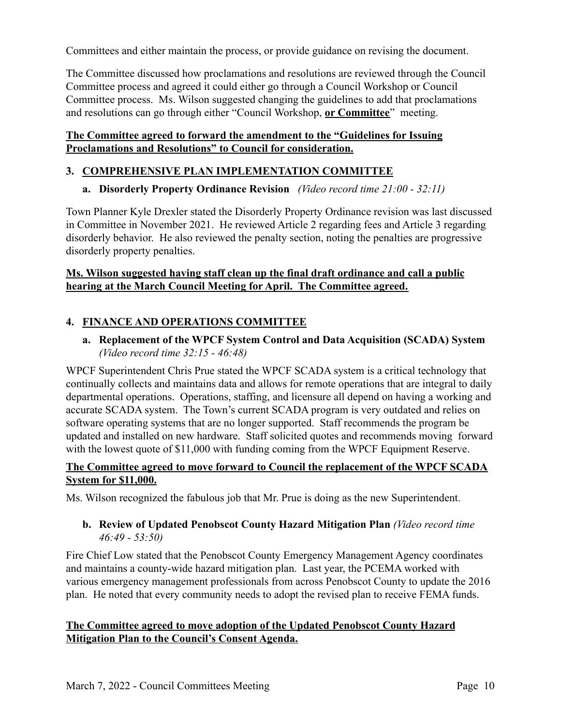Committees and either maintain the process, or provide guidance on revising the document.

The Committee discussed how proclamations and resolutions are reviewed through the Council Committee process and agreed it could either go through a Council Workshop or Council Committee process. Ms. Wilson suggested changing the guidelines to add that proclamations and resolutions can go through either "Council Workshop, **or Committee**" meeting.

## **The Committee agreed to forward the amendment to the "Guidelines for Issuing Proclamations and Resolutions" to Council for consideration.**

## **3. COMPREHENSIVE PLAN IMPLEMENTATION COMMITTEE**

**a. Disorderly Property Ordinance Revision** *(Video record time 21:00 - 32:11)*

Town Planner Kyle Drexler stated the Disorderly Property Ordinance revision was last discussed in Committee in November 2021. He reviewed Article 2 regarding fees and Article 3 regarding disorderly behavior. He also reviewed the penalty section, noting the penalties are progressive disorderly property penalties.

## **Ms. Wilson suggested having staff clean up the final draft ordinance and call a public hearing at the March Council Meeting for April. The Committee agreed.**

# **4. FINANCE AND OPERATIONS COMMITTEE**

**a. Replacement of the WPCF System Control and Data Acquisition (SCADA) System** *(Video record time 32:15 - 46:48)*

WPCF Superintendent Chris Prue stated the WPCF SCADA system is a critical technology that continually collects and maintains data and allows for remote operations that are integral to daily departmental operations. Operations, staffing, and licensure all depend on having a working and accurate SCADA system. The Town's current SCADA program is very outdated and relies on software operating systems that are no longer supported. Staff recommends the program be updated and installed on new hardware. Staff solicited quotes and recommends moving forward with the lowest quote of \$11,000 with funding coming from the WPCF Equipment Reserve.

# **The Committee agreed to move forward to Council the replacement of the WPCF SCADA System for \$11,000.**

Ms. Wilson recognized the fabulous job that Mr. Prue is doing as the new Superintendent.

## **b. Review of Updated Penobscot County Hazard Mitigation Plan** *(Video record time 46:49 - 53:50)*

Fire Chief Low stated that the Penobscot County Emergency Management Agency coordinates and maintains a county-wide hazard mitigation plan. Last year, the PCEMA worked with various emergency management professionals from across Penobscot County to update the 2016 plan. He noted that every community needs to adopt the revised plan to receive FEMA funds.

# **The Committee agreed to move adoption of the Updated Penobscot County Hazard Mitigation Plan to the Council's Consent Agenda.**